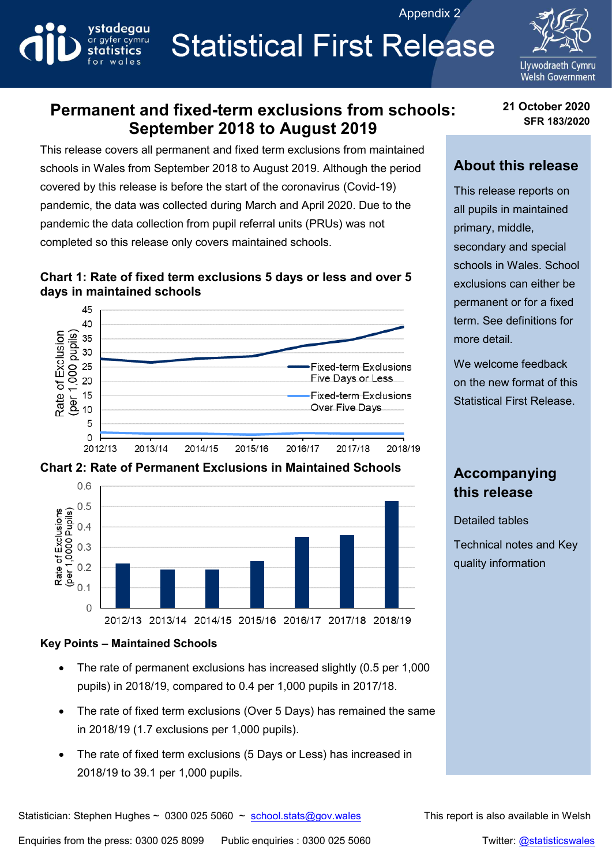Appendix 2



# **Statistical First Release**



# **Permanent and fixed-term exclusions from schools: September 2018 to August 2019**

This release covers all permanent and fixed term exclusions from maintained schools in Wales from September 2018 to August 2019. Although the period covered by this release is before the start of the coronavirus (Covid-19) pandemic, the data was collected during March and April 2020. Due to the pandemic the data collection from pupil referral units (PRUs) was not completed so this release only covers maintained schools.

#### **Chart 1: Rate of fixed term exclusions 5 days or less and over 5 days in maintained schools**



### **Chart 2: Rate of Permanent Exclusions in Maintained Schools**



# **Accompanying this release**

Detailed tables

Technical notes and Key quality information

#### **Key Points – Maintained Schools**

- The rate of permanent exclusions has increased slightly (0.5 per 1,000 pupils) in 2018/19, compared to 0.4 per 1,000 pupils in 2017/18.
- The rate of fixed term exclusions (Over 5 Days) has remained the same in 2018/19 (1.7 exclusions per 1,000 pupils).
- The rate of fixed term exclusions (5 Days or Less) has increased in 2018/19 to 39.1 per 1,000 pupils.

**21 October 2020 SFR 183/2020**

## **About this release**

This release reports on all pupils in maintained primary, middle, secondary and special schools in Wales. School exclusions can either be permanent or for a fixed term. See definitions for more detail.

We welcome feedback on the new format of this Statistical First Release.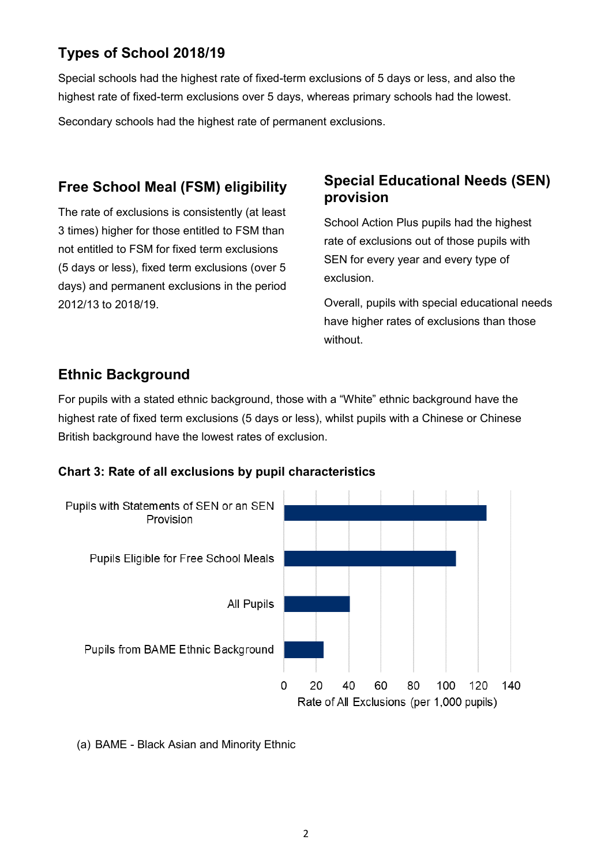# **Types of School 2018/19**

Special schools had the highest rate of fixed-term exclusions of 5 days or less, and also the highest rate of fixed-term exclusions over 5 days, whereas primary schools had the lowest.

Secondary schools had the highest rate of permanent exclusions.

# **Free School Meal (FSM) eligibility**

The rate of exclusions is consistently (at least 3 times) higher for those entitled to FSM than not entitled to FSM for fixed term exclusions (5 days or less), fixed term exclusions (over 5 days) and permanent exclusions in the period 2012/13 to 2018/19.

## **Special Educational Needs (SEN) provision**

School Action Plus pupils had the highest rate of exclusions out of those pupils with SEN for every year and every type of exclusion.

Overall, pupils with special educational needs have higher rates of exclusions than those without.

## **Ethnic Background**

For pupils with a stated ethnic background, those with a "White" ethnic background have the highest rate of fixed term exclusions (5 days or less), whilst pupils with a Chinese or Chinese British background have the lowest rates of exclusion.

#### **Chart 3: Rate of all exclusions by pupil characteristics**



(a) BAME - Black Asian and Minority Ethnic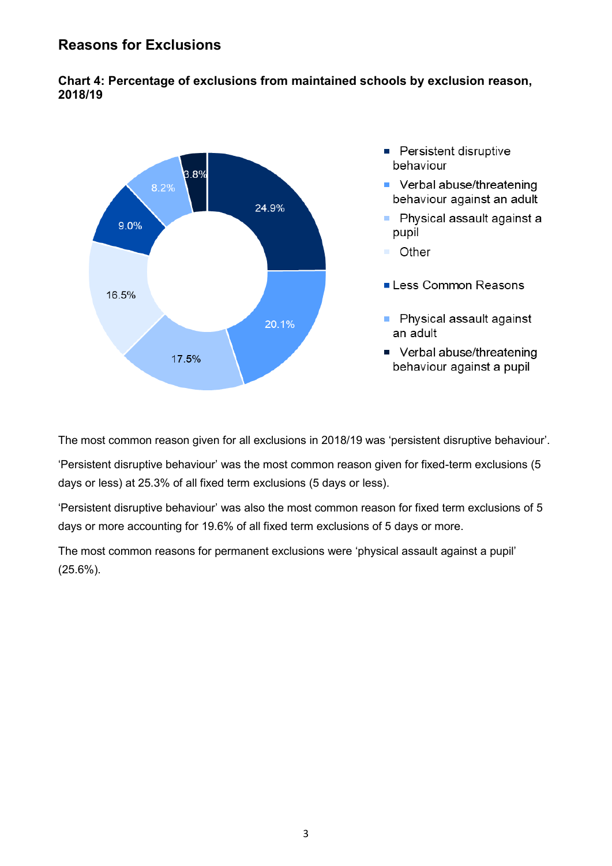## **Reasons for Exclusions**

#### **Chart 4: Percentage of exclusions from maintained schools by exclusion reason, 2018/19**



The most common reason given for all exclusions in 2018/19 was 'persistent disruptive behaviour'.

'Persistent disruptive behaviour' was the most common reason given for fixed-term exclusions (5 days or less) at 25.3% of all fixed term exclusions (5 days or less).

'Persistent disruptive behaviour' was also the most common reason for fixed term exclusions of 5 days or more accounting for 19.6% of all fixed term exclusions of 5 days or more.

The most common reasons for permanent exclusions were 'physical assault against a pupil' (25.6%).